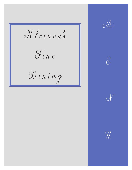Kleinows  $\widetilde{\partial u}$  $\mathcal{D}$ ining







 $|V|$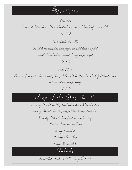

Potato Skins

Loaded with cheddar cheese and bacon Served with sour cream and chives Half order available \$4.50

> Smoked Chicken Quesadilla Smoked chicken, caramelized onions, peppers and melted cheese in a grilled quesadilla. Served with avocado ranch dressing and pico de gallo.

\$5.75

Tower of Power Three tiers of our signature favorites. Crispy Shrimp. Ribs and Chicken Strips. Served with Jack Daniel's "sauce and sweet and sour sauce for dipping. \$7.50

## $\mathscr{S}_{\mathit{oup}}$  of the  $\mathcal{D}_{\mathit{ay}}$  4.50

Mondays: French Onion Soup, topped with croutons melted provolone cheese Tuesdays: Broccoli Cheese Soup with fresh broccoli simmered with cheese Wednesdays: Chili with either beef or chicken in mild or spicy Thursdays: Beans and Corn Bread Fridays: Potato Soup Saturdays: Tomato Soup Sundays: Homemade Stew  $\mathcal{S}_a$ l a d s

House Salad Small 3.00 Large 6.00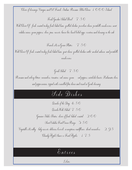Choice of dressings: Vinegar and Oil, French, Italian, Russian, Blue Cheese, 1000 Island

Fresh Garden Salad Bowl \$7.50

With Choice Of: fresh roasted turkey fresh baked ham grilled chicken provelone cheese portabello mushrooms sweet vidalia onions, green peppers, olives, peas, carrots, bacon bits, hard boiled eggs, croutons and dressing on the side

French Mix Green Platter \$7.50 With Choice Of: fresh roasted turkey, fresh baked ham, goat cheese, grilled chicken cutlet, smoked salmon, and portabello mushrooms.

Greek Salad \$7.50 Romaine and iceberg lettuce, cucumbers, tomatoes, red onions, green & red peppers, artichoke hearts, Kalamata olives and pepperoncinis, topped with crumbled feta cheese and tossed in Greek dressing.

## $Side$  Dishes

Quiche of the Day  $\,4.50$ Quiche With Salad 7.50 Genuine Idaho Potatos: choice of fried, baked, roasted  $\;$  2.00 Sweet Vidalia Fried Onion Rings  $3.50$ Vegetable Medley (baby carrots delicious broccoli scrumptious cauliflower sliced cucumbers)  $295$ Chunky Apple Sauce or Fried Apples \$1.75

 $\delta$  nt r e e s

Lobster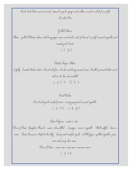Fresh whole lobster cut into morsels, steamed in garlic, ginger and scallions served on a bed of rice pilaf Market Price

Flame-grilled Rtlantic salmon with honey pepper sauce served with a side of almond rice pilaf-seasoned vegetables and toasted garlic bread. \$17.95

Grilled Salmon

Chicken Fingers Platter Lightly-breaded chicken tenders. Served with fries-cole slaw and honey mustard sauce. Smaller portioned basket served without cole slaw also available. 1275 675

Fried Chicken

Served with garlic mashed potatoes, country gravy and seasoned vegetables. 1250, 14.95

Pasta Elegance made to order

Choice of Pasta: Spaghetti, Ravioli (meat or cheese filled), Lasagna (meat or vegetable), Shells stuffed (cheese or meat), Pasta Primavera, Seafood Medley (shrimp and crawfish, garlic, red bell peppers, grilled vegetables, green onion and savory clam sauce) Choice of Sauce: cream sauce, meat sauce, marinara sauce

\$13.50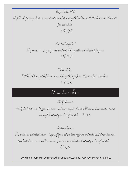Finger Lickin' Ribs A full rack of tender pork ribs, marinated and seasoned, then chargrilled and basted with Barbecue sauce. Served with fries and coleslaw. \$17.95

> New York Strip Steak A generous  $1\ 2$  oz $\,$ strip steak served with chef's vegetables and a loaded baked potato \$16.75

Classic Sirloin U S DA Choice aged beef, hand-cut and chargrilled to perfection. Topped with Maison butter. \$18.50

 $\mathcal{S}_{\emph{an} \emph{dw}$ iches

Philly Cheesesteak

Thinly sliced steak, saut ed peppers, mushrooms and onions, topped with melted American cheese, served on toasted sourdough bread and your choice of side dish  $5.50$ 

Italiano Supreme

A new twist on an Italian Classic! Layers of Genoa salami, ham, pepperoni, and melted smoked provolone cheese, topped with lettuce, tomato and Parmesan mayonnaise on toasted Italian bread and you choice of side dish. \$ 6.95

Our dining room can be reserved for special occasions. Ask your server for details.